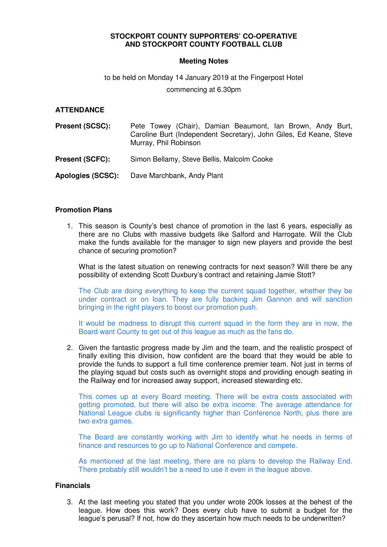# **STOCKPORT COUNTY SUPPORTERS' CO-OPERATIVE AND STOCKPORT COUNTY FOOTBALL CLUB**

## **Meeting Notes**

# to be held on Monday 14 January 2019 at the Fingerpost Hotel

commencing at 6.30pm

## **ATTENDANCE**

| <b>Present (SCSC):</b>   | Pete Towey (Chair), Damian Beaumont, Ian Brown, Andy Burt,<br>Caroline Burt (Independent Secretary), John Giles, Ed Keane, Steve<br>Murray, Phil Robinson |
|--------------------------|-----------------------------------------------------------------------------------------------------------------------------------------------------------|
| <b>Present (SCFC):</b>   | Simon Bellamy, Steve Bellis, Malcolm Cooke                                                                                                                |
| <b>Apologies (SCSC):</b> | Dave Marchbank, Andy Plant                                                                                                                                |

#### **Promotion Plans**

1. This season is County's best chance of promotion in the last 6 years, especially as there are no Clubs with massive budgets like Salford and Harrogate. Will the Club make the funds available for the manager to sign new players and provide the best chance of securing promotion?

What is the latest situation on renewing contracts for next season? Will there be any possibility of extending Scott Duxbury's contract and retaining Jamie Stott?

The Club are doing everything to keep the current squad together, whether they be under contract or on loan. They are fully backing Jim Gannon and will sanction bringing in the right players to boost our promotion push.

It would be madness to disrupt this current squad in the form they are in now, the Board want County to get out of this league as much as the fans do.

2. Given the fantastic progress made by Jim and the team, and the realistic prospect of finally exiting this division, how confident are the board that they would be able to provide the funds to support a full time conference premier team. Not just in terms of the playing squad but costs such as overnight stops and providing enough seating in the Railway end for increased away support, increased stewarding etc.

This comes up at every Board meeting. There will be extra costs associated with getting promoted, but there will also be extra income. The average attendance for National League clubs is significantly higher than Conference North, plus there are two extra games.

The Board are constantly working with Jim to identify what he needs in terms of finance and resources to go up to National Conference and compete.

As mentioned at the last meeting, there are no plans to develop the Railway End. There probably still wouldn't be a need to use it even in the league above.

#### **Financials**

3. At the last meeting you stated that you under wrote 200k losses at the behest of the league. How does this work? Does every club have to submit a budget for the league's perusal? If not, how do they ascertain how much needs to be underwritten?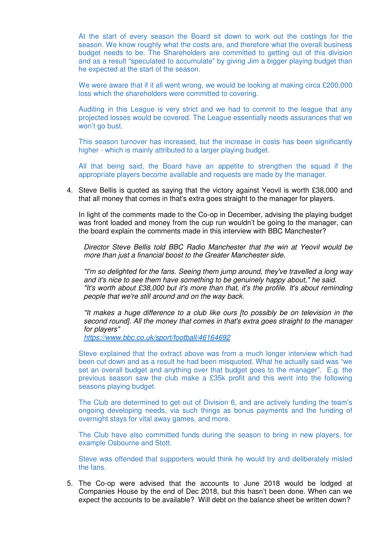At the start of every season the Board sit down to work out the costings for the season. We know roughly what the costs are, and therefore what the overall business budget needs to be. The Shareholders are committed to getting out of this division and as a result "speculated to accumulate" by giving Jim a bigger playing budget than he expected at the start of the season.

We were aware that if it all went wrong, we would be looking at making circa £200,000 loss which the shareholders were committed to covering.

Auditing in this League is very strict and we had to commit to the league that any projected losses would be covered. The League essentially needs assurances that we won't go bust.

This season turnover has increased, but the increase in costs has been significantly higher - which is mainly attributed to a larger playing budget.

All that being said, the Board have an appetite to strengthen the squad if the appropriate players become available and requests are made by the manager.

4. Steve Bellis is quoted as saying that the victory against Yeovil is worth £38,000 and that all money that comes in that's extra goes straight to the manager for players.

In light of the comments made to the Co-op in December, advising the playing budget was front loaded and money from the cup run wouldn't be going to the manager, can the board explain the comments made in this interview with BBC Manchester?

Director Steve Bellis told BBC Radio Manchester that the win at Yeovil would be more than just a financial boost to the Greater Manchester side.

"I'm so delighted for the fans. Seeing them jump around, they've travelled a long way and it's nice to see them have something to be genuinely happy about," he said. "It's worth about £38,000 but it's more than that, it's the profile. It's about reminding people that we're still around and on the way back.

"It makes a huge difference to a club like ours [to possibly be on television in the second round]. All the money that comes in that's extra goes straight to the manager for players"

https://www.bbc.co.uk/sport/football/46164692

Steve explained that the extract above was from a much longer interview which had been cut down and as a result he had been misquoted. What he actually said was "we set an overall budget and anything over that budget goes to the manager". E.g. the previous season saw the club make a £35k profit and this went into the following seasons playing budget.

The Club are determined to get out of Division 6, and are actively funding the team's ongoing developing needs, via such things as bonus payments and the funding of overnight stays for vital away games, and more.

The Club have also committed funds during the season to bring in new players, for example Osbourne and Stott.

Steve was offended that supporters would think he would try and deliberately misled the fans.

5. The Co-op were advised that the accounts to June 2018 would be lodged at Companies House by the end of Dec 2018, but this hasn't been done. When can we expect the accounts to be available? Will debt on the balance sheet be written down?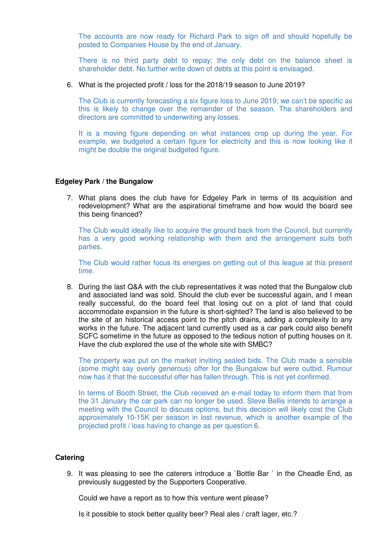The accounts are now ready for Richard Park to sign off and should hopefully be posted to Companies House by the end of January.

There is no third party debt to repay; the only debt on the balance sheet is shareholder debt. No further write down of debts at this point is envisaged.

6. What is the projected profit / loss for the 2018/19 season to June 2019?

The Club is currently forecasting a six figure loss to June 2019; we can't be specific as this is likely to change over the remainder of the season. The shareholders and directors are committed to underwriting any losses.

It is a moving figure depending on what instances crop up during the year. For example, we budgeted a certain figure for electricity and this is now looking like it might be double the original budgeted figure.

#### **Edgeley Park / the Bungalow**

7. What plans does the club have for Edgeley Park in terms of its acquisition and redevelopment? What are the aspirational timeframe and how would the board see this being financed?

The Club would ideally like to acquire the ground back from the Council, but currently has a very good working relationship with them and the arrangement suits both parties.

The Club would rather focus its energies on getting out of this league at this present time.

8. During the last Q&A with the club representatives it was noted that the Bungalow club and associated land was sold. Should the club ever be successful again, and I mean really successful, do the board feel that losing out on a plot of land that could accommodate expansion in the future is short-sighted? The land is also believed to be the site of an historical access point to the pitch drains, adding a complexity to any works in the future. The adjacent land currently used as a car park could also benefit SCFC sometime in the future as opposed to the tedious notion of putting houses on it. Have the club explored the use of the whole site with SMBC?

The property was put on the market inviting sealed bids. The Club made a sensible (some might say overly generous) offer for the Bungalow but were outbid. Rumour now has it that the successful offer has fallen through. This is not yet confirmed.

In terms of Booth Street, the Club received an e-mail today to inform them that from the 31 January the car park can no longer be used. Steve Bellis intends to arrange a meeting with the Council to discuss options, but this decision will likely cost the Club approximately 10-15K per season in lost revenue, which is another example of the projected profit / loss having to change as per question 6.

## **Catering**

9. It was pleasing to see the caterers introduce a `Bottle Bar ` in the Cheadle End, as previously suggested by the Supporters Cooperative.

Could we have a report as to how this venture went please?

Is it possible to stock better quality beer? Real ales / craft lager, etc.?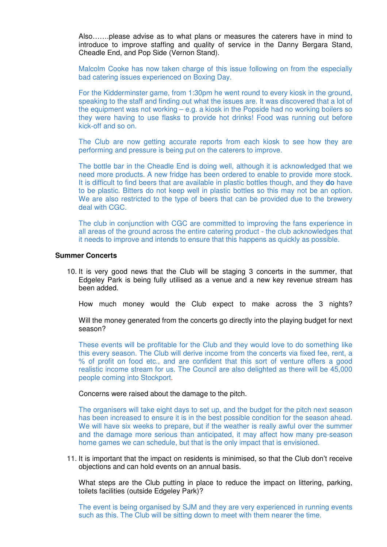Also…….please advise as to what plans or measures the caterers have in mind to introduce to improve staffing and quality of service in the Danny Bergara Stand, Cheadle End, and Pop Side (Vernon Stand).

Malcolm Cooke has now taken charge of this issue following on from the especially bad catering issues experienced on Boxing Day.

For the Kidderminster game, from 1:30pm he went round to every kiosk in the ground, speaking to the staff and finding out what the issues are. It was discovered that a lot of the equipment was not working – e.g. a kiosk in the Popside had no working boilers so they were having to use flasks to provide hot drinks! Food was running out before kick-off and so on.

The Club are now getting accurate reports from each kiosk to see how they are performing and pressure is being put on the caterers to improve.

The bottle bar in the Cheadle End is doing well, although it is acknowledged that we need more products. A new fridge has been ordered to enable to provide more stock. It is difficult to find beers that are available in plastic bottles though, and they **do** have to be plastic. Bitters do not keep well in plastic bottles so this may not be an option. We are also restricted to the type of beers that can be provided due to the brewery deal with CGC.

The club in conjunction with CGC are committed to improving the fans experience in all areas of the ground across the entire catering product - the club acknowledges that it needs to improve and intends to ensure that this happens as quickly as possible.

#### **Summer Concerts**

10. It is very good news that the Club will be staging 3 concerts in the summer, that Edgeley Park is being fully utilised as a venue and a new key revenue stream has been added.

How much money would the Club expect to make across the 3 nights?

Will the money generated from the concerts go directly into the playing budget for next season?

These events will be profitable for the Club and they would love to do something like this every season. The Club will derive income from the concerts via fixed fee, rent, a % of profit on food etc., and are confident that this sort of venture offers a good realistic income stream for us. The Council are also delighted as there will be 45,000 people coming into Stockport.

#### Concerns were raised about the damage to the pitch.

The organisers will take eight days to set up, and the budget for the pitch next season has been increased to ensure it is in the best possible condition for the season ahead. We will have six weeks to prepare, but if the weather is really awful over the summer and the damage more serious than anticipated, it may affect how many pre-season home games we can schedule, but that is the only impact that is envisioned.

11. It is important that the impact on residents is minimised, so that the Club don't receive objections and can hold events on an annual basis.

What steps are the Club putting in place to reduce the impact on littering, parking, toilets facilities (outside Edgeley Park)?

The event is being organised by SJM and they are very experienced in running events such as this. The Club will be sitting down to meet with them nearer the time.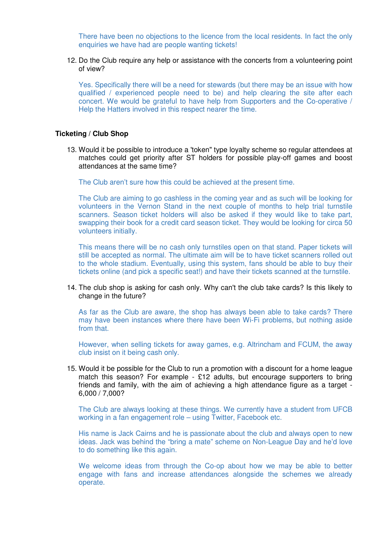There have been no objections to the licence from the local residents. In fact the only enquiries we have had are people wanting tickets!

12. Do the Club require any help or assistance with the concerts from a volunteering point of view?

Yes. Specifically there will be a need for stewards (but there may be an issue with how qualified / experienced people need to be) and help clearing the site after each concert. We would be grateful to have help from Supporters and the Co-operative / Help the Hatters involved in this respect nearer the time.

#### **Ticketing / Club Shop**

13. Would it be possible to introduce a 'token" type loyalty scheme so regular attendees at matches could get priority after ST holders for possible play-off games and boost attendances at the same time?

The Club aren't sure how this could be achieved at the present time.

The Club are aiming to go cashless in the coming year and as such will be looking for volunteers in the Vernon Stand in the next couple of months to help trial turnstile scanners. Season ticket holders will also be asked if they would like to take part, swapping their book for a credit card season ticket. They would be looking for circa 50 volunteers initially.

This means there will be no cash only turnstiles open on that stand. Paper tickets will still be accepted as normal. The ultimate aim will be to have ticket scanners rolled out to the whole stadium. Eventually, using this system, fans should be able to buy their tickets online (and pick a specific seat!) and have their tickets scanned at the turnstile.

14. The club shop is asking for cash only. Why can't the club take cards? Is this likely to change in the future?

As far as the Club are aware, the shop has always been able to take cards? There may have been instances where there have been Wi-Fi problems, but nothing aside from that.

However, when selling tickets for away games, e.g. Altrincham and FCUM, the away club insist on it being cash only.

15. Would it be possible for the Club to run a promotion with a discount for a home league match this season? For example - £12 adults, but encourage supporters to bring friends and family, with the aim of achieving a high attendance figure as a target - 6,000 / 7,000?

The Club are always looking at these things. We currently have a student from UFCB working in a fan engagement role – using Twitter, Facebook etc.

His name is Jack Cairns and he is passionate about the club and always open to new ideas. Jack was behind the "bring a mate" scheme on Non-League Day and he'd love to do something like this again.

We welcome ideas from through the Co-op about how we may be able to better engage with fans and increase attendances alongside the schemes we already operate.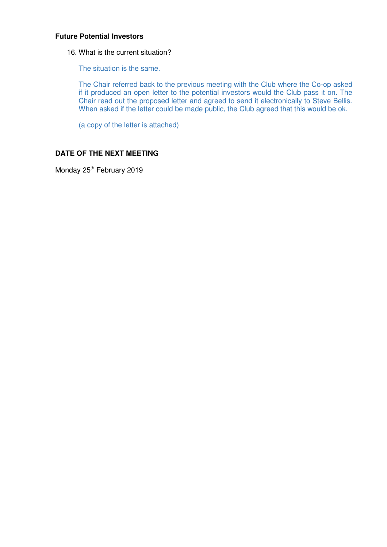# **Future Potential Investors**

16. What is the current situation?

The situation is the same.

The Chair referred back to the previous meeting with the Club where the Co-op asked if it produced an open letter to the potential investors would the Club pass it on. The Chair read out the proposed letter and agreed to send it electronically to Steve Bellis. When asked if the letter could be made public, the Club agreed that this would be ok.

(a copy of the letter is attached)

# **DATE OF THE NEXT MEETING**

Monday 25<sup>th</sup> February 2019